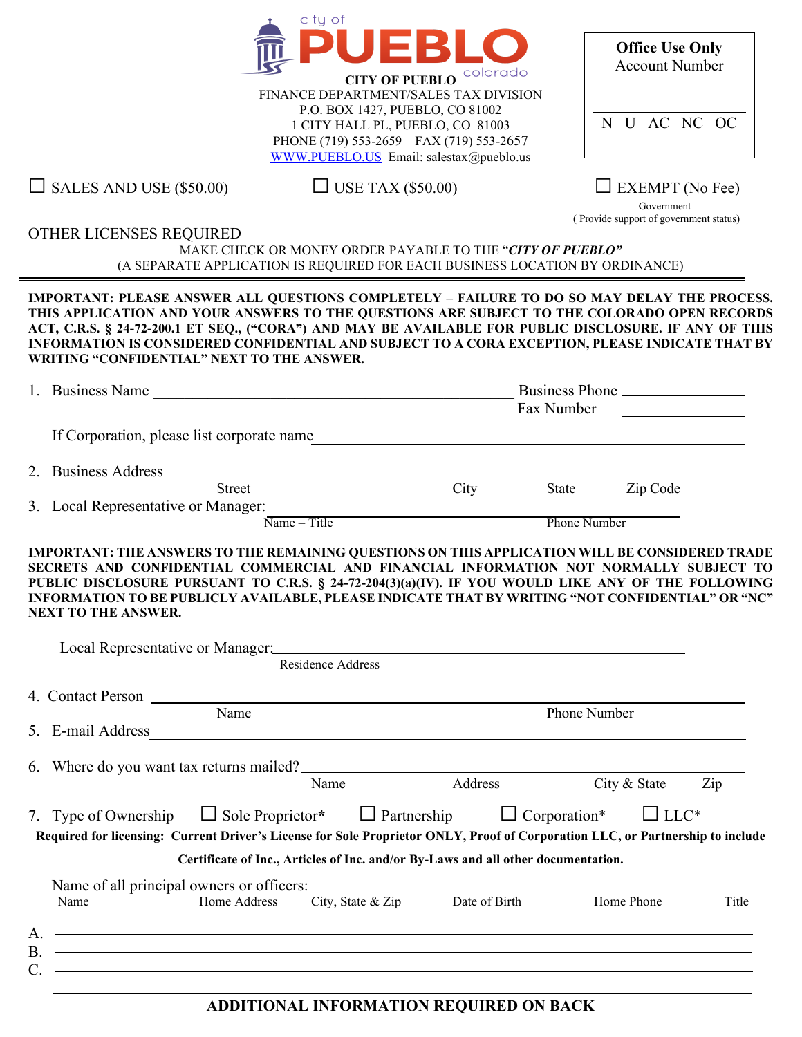

FINANCE DEPARTMENT/SALES TAX DIVISION P.O. BOX 1427, PUEBLO, CO 81002 1 CITY HALL PL, PUEBLO, CO 81003 PHONE (719) 553-2659 FAX (719) 553-2657 [WWW.PUEBLO.US](http://www.pueblo.us/) Email: salestax@pueblo.us

| <b>Office Use Only</b><br><b>Account Number</b> |  |           |  |      |  |  |  |
|-------------------------------------------------|--|-----------|--|------|--|--|--|
|                                                 |  | N U AC NC |  | - OC |  |  |  |

 $\Box$  SALES AND USE (\$50.00)  $\Box$  USE TAX (\$50.00)  $\Box$  EXEMPT (No Fee)

 Government ( Provide support of government status)

OTHER LICENSES REQUIRED

C.

MAKE CHECK OR MONEY ORDER PAYABLE TO THE "*CITY OF PUEBLO"* (A SEPARATE APPLICATION IS REQUIRED FOR EACH BUSINESS LOCATION BY ORDINANCE)

**IMPORTANT: PLEASE ANSWER ALL QUESTIONS COMPLETELY – FAILURE TO DO SO MAY DELAY THE PROCESS. THIS APPLICATION AND YOUR ANSWERS TO THE QUESTIONS ARE SUBJECT TO THE COLORADO OPEN RECORDS ACT, C.R.S. § 24-72-200.1 ET SEQ., ("CORA") AND MAY BE AVAILABLE FOR PUBLIC DISCLOSURE. IF ANY OF THIS INFORMATION IS CONSIDERED CONFIDENTIAL AND SUBJECT TO A CORA EXCEPTION, PLEASE INDICATE THAT BY WRITING "CONFIDENTIAL" NEXT TO THE ANSWER.**

| If Corporation, please list corporate name<br>Zip Code<br><b>Phone Number</b>                                                                                                                                                                                                                                                                                                                     |  |  |  |
|---------------------------------------------------------------------------------------------------------------------------------------------------------------------------------------------------------------------------------------------------------------------------------------------------------------------------------------------------------------------------------------------------|--|--|--|
|                                                                                                                                                                                                                                                                                                                                                                                                   |  |  |  |
|                                                                                                                                                                                                                                                                                                                                                                                                   |  |  |  |
|                                                                                                                                                                                                                                                                                                                                                                                                   |  |  |  |
| IMPORTANT: THE ANSWERS TO THE REMAINING QUESTIONS ON THIS APPLICATION WILL BE CONSIDERED TRADE<br>SECRETS AND CONFIDENTIAL COMMERCIAL AND FINANCIAL INFORMATION NOT NORMALLY SUBJECT TO<br>PUBLIC DISCLOSURE PURSUANT TO C.R.S. § 24-72-204(3)(a)(IV). IF YOU WOULD LIKE ANY OF THE FOLLOWING<br>INFORMATION TO BE PUBLICLY AVAILABLE, PLEASE INDICATE THAT BY WRITING "NOT CONFIDENTIAL" OR "NC" |  |  |  |
|                                                                                                                                                                                                                                                                                                                                                                                                   |  |  |  |
|                                                                                                                                                                                                                                                                                                                                                                                                   |  |  |  |
| Local Representative or Manager: Manager: Manager: Manager: Manager: Manager: Manager: Manager: Manager: Manager: Manager: Manager: Manager: Manager: Manager: Manager: Manager: Manager: Manager: Manager: Manager: Manager:                                                                                                                                                                     |  |  |  |
|                                                                                                                                                                                                                                                                                                                                                                                                   |  |  |  |
|                                                                                                                                                                                                                                                                                                                                                                                                   |  |  |  |
|                                                                                                                                                                                                                                                                                                                                                                                                   |  |  |  |
| Phone Number                                                                                                                                                                                                                                                                                                                                                                                      |  |  |  |
|                                                                                                                                                                                                                                                                                                                                                                                                   |  |  |  |
| City & State<br>Zip                                                                                                                                                                                                                                                                                                                                                                               |  |  |  |
| $\Box$ LLC*<br>Required for licensing: Current Driver's License for Sole Proprietor ONLY, Proof of Corporation LLC, or Partnership to include                                                                                                                                                                                                                                                     |  |  |  |
| Certificate of Inc., Articles of Inc. and/or By-Laws and all other documentation.                                                                                                                                                                                                                                                                                                                 |  |  |  |
| Home Phone<br>Title                                                                                                                                                                                                                                                                                                                                                                               |  |  |  |
|                                                                                                                                                                                                                                                                                                                                                                                                   |  |  |  |
| ,我们也不会有一个人的人,我们也不会有一个人的人,我们也不会有一个人的人。""我们,我们也不会有一个人的人,我们也不会有一个人的人,我们也不会有一个人的人。""我                                                                                                                                                                                                                                                                                                                 |  |  |  |
|                                                                                                                                                                                                                                                                                                                                                                                                   |  |  |  |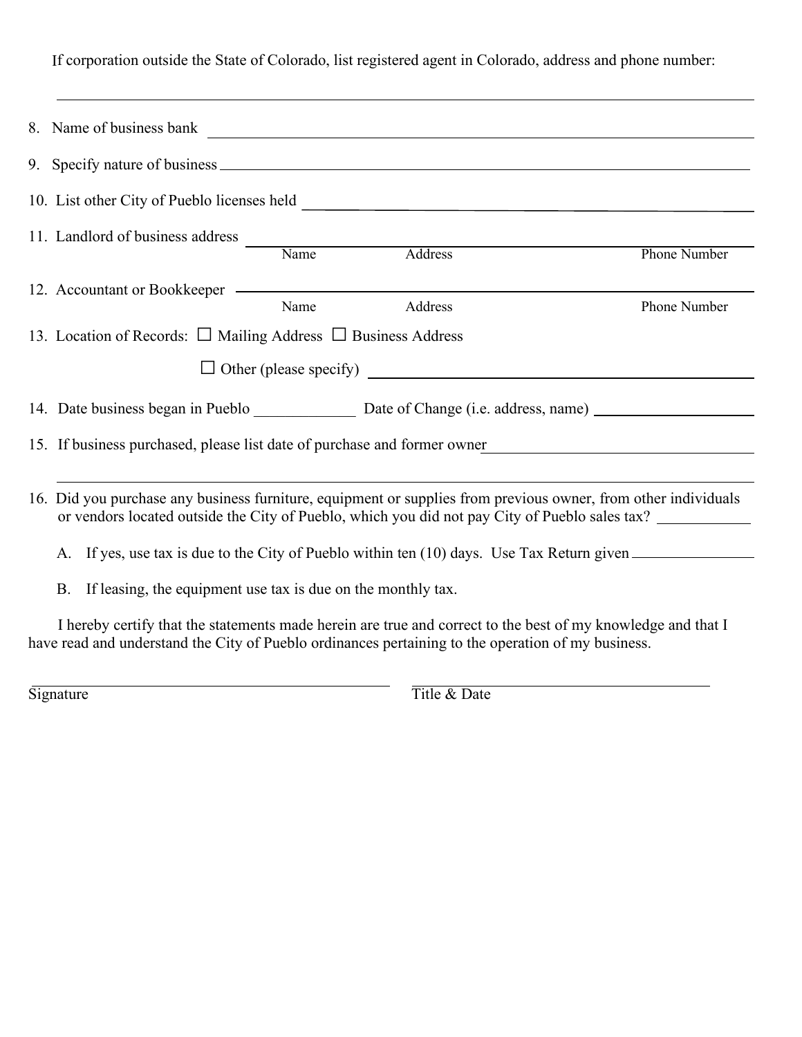If corporation outside the State of Colorado, list registered agent in Colorado, address and phone number:

|                                      | 11. Landlord of business address<br>Name                                                                                                                                                                           |                              |      |         |                     |  |  |  |  |
|--------------------------------------|--------------------------------------------------------------------------------------------------------------------------------------------------------------------------------------------------------------------|------------------------------|------|---------|---------------------|--|--|--|--|
|                                      |                                                                                                                                                                                                                    |                              |      | Address | <b>Phone Number</b> |  |  |  |  |
|                                      |                                                                                                                                                                                                                    | 12. Accountant or Bookkeeper |      |         |                     |  |  |  |  |
|                                      |                                                                                                                                                                                                                    |                              | Name | Address | Phone Number        |  |  |  |  |
|                                      | 13. Location of Records: $\Box$ Mailing Address $\Box$ Business Address                                                                                                                                            |                              |      |         |                     |  |  |  |  |
| $\Box$ Other (please specify) $\Box$ |                                                                                                                                                                                                                    |                              |      |         |                     |  |  |  |  |
|                                      |                                                                                                                                                                                                                    |                              |      |         |                     |  |  |  |  |
|                                      | 15. If business purchased, please list date of purchase and former owner                                                                                                                                           |                              |      |         |                     |  |  |  |  |
|                                      |                                                                                                                                                                                                                    |                              |      |         |                     |  |  |  |  |
|                                      | 16. Did you purchase any business furniture, equipment or supplies from previous owner, from other individuals<br>or vendors located outside the City of Pueblo, which you did not pay City of Pueblo sales tax?   |                              |      |         |                     |  |  |  |  |
|                                      | A. If yes, use tax is due to the City of Pueblo within ten (10) days. Use Tax Return given                                                                                                                         |                              |      |         |                     |  |  |  |  |
|                                      | If leasing, the equipment use tax is due on the monthly tax.<br><b>B.</b>                                                                                                                                          |                              |      |         |                     |  |  |  |  |
|                                      | I hereby certify that the statements made herein are true and correct to the best of my knowledge and that I<br>have read and understand the City of Pueblo ordinances pertaining to the operation of my business. |                              |      |         |                     |  |  |  |  |

Signature Title & Date